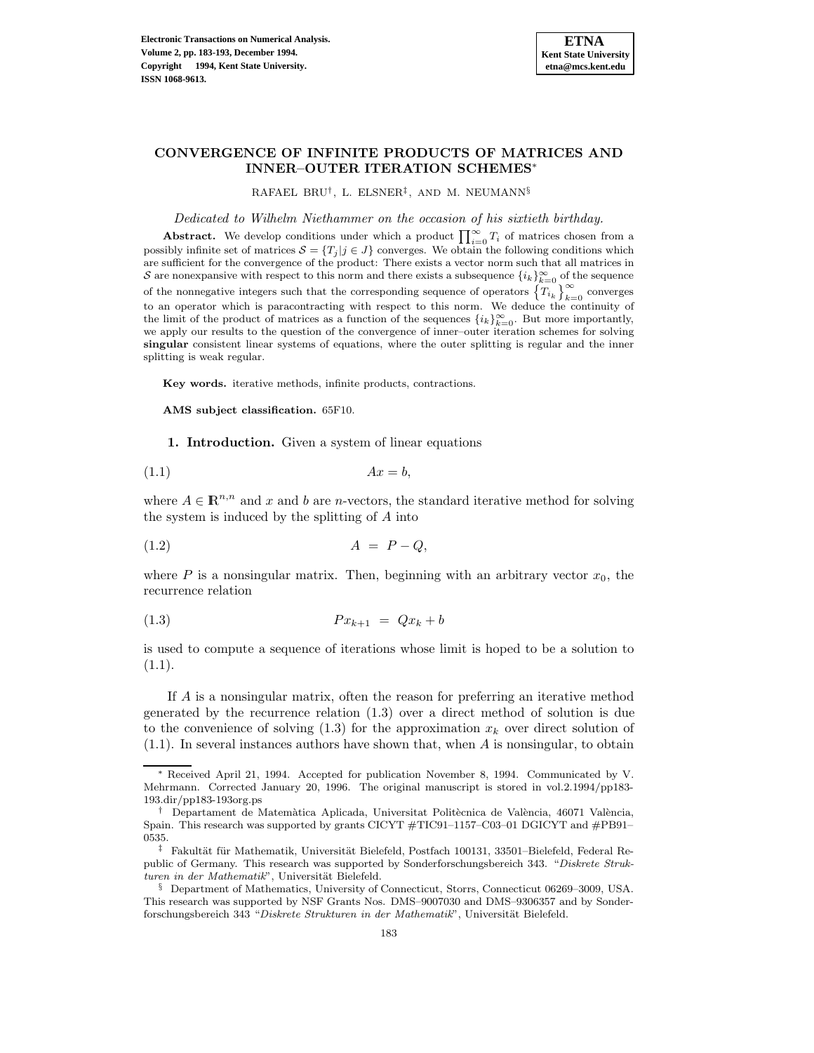

## **CONVERGENCE OF INFINITE PRODUCTS OF MATRICES AND INNER–OUTER ITERATION SCHEMES**<sup>∗</sup>

RAFAEL BRU†, L. ELSNER‡, AND M. NEUMANN§

Dedicated to Wilhelm Niethammer on the occasion of his sixtieth birthday.

**Abstract.** We develop conditions under which a product  $\prod_{i=0}^{\infty} T_i$  of matrices chosen from a possibly infinite set of matrices  $\mathcal{S} = \{T_j | j \in J\}$  converges. We obtain the following conditions which are sufficient for the convergence of the product: There exists a vector norm such that all matrices in S are nonexpansive with respect to this norm and there exists a subsequence  $\{i_k\}_{k=0}^{\infty}$  of the sequence of the nonnegative integers such that the corresponding sequence of operators  $\left\{T_{i_k}\right\}_{k=0}^{\infty}$  converges to an operator which is paracontracting with respect to this norm. We deduce the continuity of the limit of the product of matrices as a function of the sequences  $\{i_k\}_{k=0}^{\infty}$ . But more importantly, we apply our results to the question of the convergence of inner–outer iteration schemes for solving **singular** consistent linear systems of equations, where the outer splitting is regular and the inner splitting is weak regular.

**Key words.** iterative methods, infinite products, contractions.

**AMS subject classification.** 65F10.

**1. Introduction.** Given a system of linear equations

$$
(1.1)\t\t\t Ax = b,
$$

where  $A \in \mathbb{R}^{n,n}$  and x and b are n-vectors, the standard iterative method for solving the system is induced by the splitting of A into

$$
(1.2) \t\t A = P - Q,
$$

where P is a nonsingular matrix. Then, beginning with an arbitrary vector  $x_0$ , the recurrence relation

$$
(1.3) \t\t P x_{k+1} = Q x_k + b
$$

is used to compute a sequence of iterations whose limit is hoped to be a solution to  $(1.1).$ 

If A is a nonsingular matrix, often the reason for preferring an iterative method generated by the recurrence relation (1.3) over a direct method of solution is due to the convenience of solving  $(1.3)$  for the approximation  $x_k$  over direct solution of (1.1). In several instances authors have shown that, when A is nonsingular, to obtain

<sup>∗</sup> Received April 21, 1994. Accepted for publication November 8, 1994. Communicated by V. Mehrmann. Corrected January 20, 1996. The original manuscript is stored in vol.2.1994/pp183- 193.dir/pp183-193org.ps

<sup>†</sup> Departament de Matemàtica Aplicada, Universitat Politècnica de València, 46071 València, Spain. This research was supported by grants CICYT #TIC91–1157–C03–01 DGICYT and #PB91– 0535.

 $^\ddag$  Fakultät für Mathematik, Universität Bielefeld, Postfach 100131, 33501–Bielefeld, Federal Republic of Germany. This research was supported by Sonderforschungsbereich 343. "Diskrete Strukturen in der Mathematik", Universität Bielefeld.

<sup>§</sup> Department of Mathematics, University of Connecticut, Storrs, Connecticut 06269–3009, USA. This research was supported by NSF Grants Nos. DMS–9007030 and DMS–9306357 and by Sonderforschungsbereich 343 "Diskrete Strukturen in der Mathematik", Universität Bielefeld.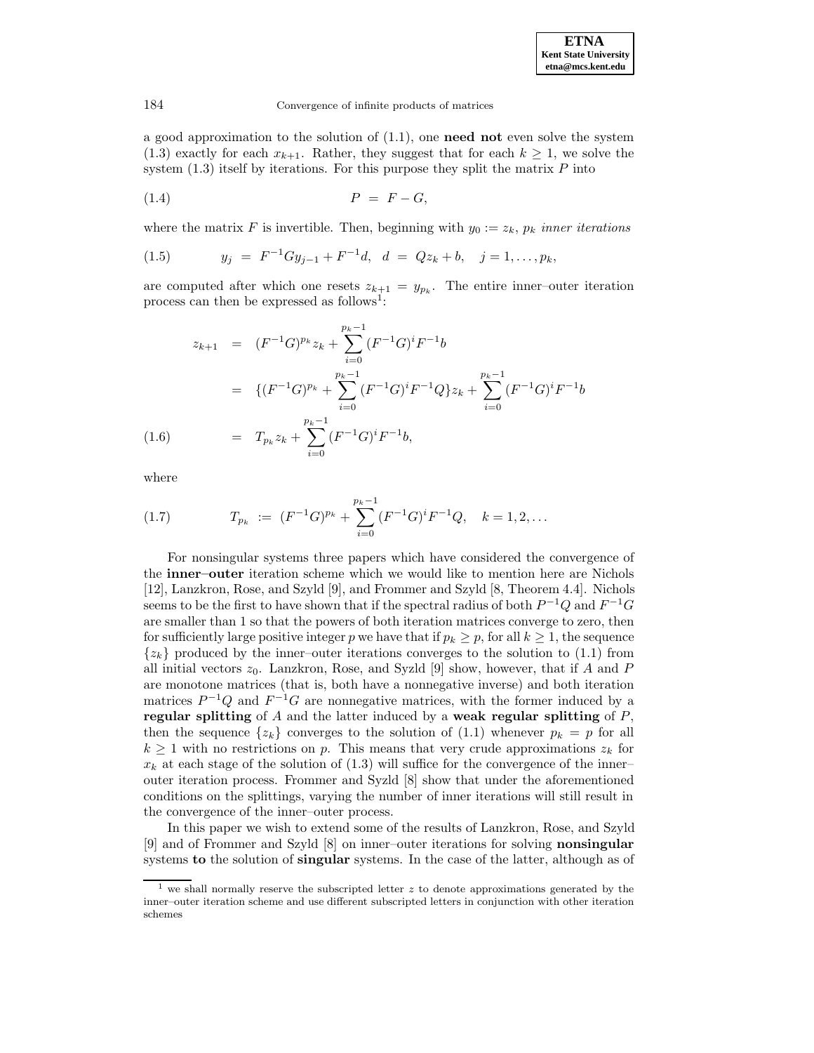a good approximation to the solution of (1.1), one **need not** even solve the system (1.3) exactly for each  $x_{k+1}$ . Rather, they suggest that for each  $k \geq 1$ , we solve the system  $(1.3)$  itself by iterations. For this purpose they split the matrix  $P$  into

$$
(1.4) \t\t P = F - G,
$$

where the matrix F is invertible. Then, beginning with  $y_0 := z_k$ ,  $p_k$  inner iterations

(1.5) 
$$
y_j = F^{-1}Gy_{j-1} + F^{-1}d, \quad d = Qz_k + b, \quad j = 1, ..., p_k,
$$

are computed after which one resets  $z_{k+1} = y_{p_k}$ . The entire inner-outer iteration process can then be expressed as follows<sup>1</sup>:

$$
z_{k+1} = (F^{-1}G)^{p_k} z_k + \sum_{i=0}^{p_k - 1} (F^{-1}G)^i F^{-1} b
$$
  

$$
= \{ (F^{-1}G)^{p_k} + \sum_{i=0}^{p_k - 1} (F^{-1}G)^i F^{-1} Q \} z_k + \sum_{i=0}^{p_k - 1} (F^{-1}G)^i F^{-1} b
$$
  
(1.6) 
$$
= T_{p_k} z_k + \sum_{i=0}^{p_k - 1} (F^{-1}G)^i F^{-1} b,
$$

where

(1.7) 
$$
T_{p_k} := (F^{-1}G)^{p_k} + \sum_{i=0}^{p_k-1} (F^{-1}G)^i F^{-1} Q, \quad k = 1, 2, ...
$$

For nonsingular systems three papers which have considered the convergence of the **inner–outer** iteration scheme which we would like to mention here are Nichols [12], Lanzkron, Rose, and Szyld [9], and Frommer and Szyld [8, Theorem 4.4]. Nichols seems to be the first to have shown that if the spectral radius of both  $P^{-1}Q$  and  $F^{-1}G$ are smaller than 1 so that the powers of both iteration matrices converge to zero, then for sufficiently large positive integer p we have that if  $p_k \geq p$ , for all  $k \geq 1$ , the sequence  $\{z_k\}$  produced by the inner–outer iterations converges to the solution to (1.1) from all initial vectors  $z_0$ . Lanzkron, Rose, and Syzld [9] show, however, that if A and P are monotone matrices (that is, both have a nonnegative inverse) and both iteration matrices  $P^{-1}Q$  and  $F^{-1}G$  are nonnegative matrices, with the former induced by a **regular splitting** of A and the latter induced by a **weak regular splitting** of P, then the sequence  $\{z_k\}$  converges to the solution of (1.1) whenever  $p_k = p$  for all  $k \geq 1$  with no restrictions on p. This means that very crude approximations  $z_k$  for  $x_k$  at each stage of the solution of  $(1.3)$  will suffice for the convergence of the inner– outer iteration process. Frommer and Syzld [8] show that under the aforementioned conditions on the splittings, varying the number of inner iterations will still result in the convergence of the inner–outer process.

In this paper we wish to extend some of the results of Lanzkron, Rose, and Szyld [9] and of Frommer and Szyld [8] on inner–outer iterations for solving **nonsingular** systems **to** the solution of **singular** systems. In the case of the latter, although as of

<sup>&</sup>lt;sup>1</sup> we shall normally reserve the subscripted letter z to denote approximations generated by the inner–outer iteration scheme and use different subscripted letters in conjunction with other iteration schemes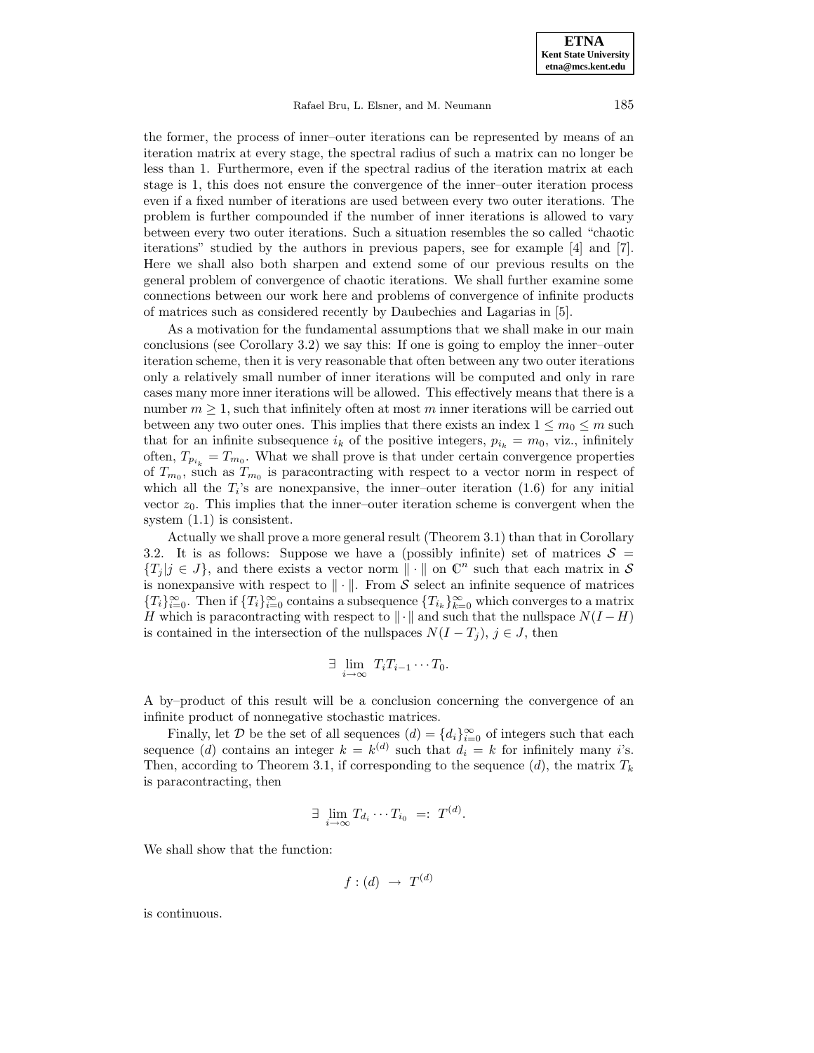Rafael Bru, L. Elsner, and M. Neumann 185

the former, the process of inner–outer iterations can be represented by means of an iteration matrix at every stage, the spectral radius of such a matrix can no longer be less than 1. Furthermore, even if the spectral radius of the iteration matrix at each stage is 1, this does not ensure the convergence of the inner–outer iteration process even if a fixed number of iterations are used between every two outer iterations. The problem is further compounded if the number of inner iterations is allowed to vary between every two outer iterations. Such a situation resembles the so called "chaotic iterations" studied by the authors in previous papers, see for example [4] and [7]. Here we shall also both sharpen and extend some of our previous results on the general problem of convergence of chaotic iterations. We shall further examine some connections between our work here and problems of convergence of infinite products of matrices such as considered recently by Daubechies and Lagarias in [5].

As a motivation for the fundamental assumptions that we shall make in our main conclusions (see Corollary 3.2) we say this: If one is going to employ the inner–outer iteration scheme, then it is very reasonable that often between any two outer iterations only a relatively small number of inner iterations will be computed and only in rare cases many more inner iterations will be allowed. This effectively means that there is a number  $m \geq 1$ , such that infinitely often at most m inner iterations will be carried out between any two outer ones. This implies that there exists an index  $1 \leq m_0 \leq m$  such that for an infinite subsequence  $i_k$  of the positive integers,  $p_{i_k} = m_0$ , viz., infinitely often,  $T_{p_{i_k}} = T_{m_0}$ . What we shall prove is that under certain convergence properties of  $T_{m_0}$ , such as  $T_{m_0}$  is paracontracting with respect to a vector norm in respect of which all the  $T_i$ 's are nonexpansive, the inner-outer iteration  $(1.6)$  for any initial vector  $z_0$ . This implies that the inner–outer iteration scheme is convergent when the system (1.1) is consistent.

Actually we shall prove a more general result (Theorem 3.1) than that in Corollary 3.2. It is as follows: Suppose we have a (possibly infinite) set of matrices  $S =$  ${T_j | j \in J}$ , and there exists a vector norm  $\|\cdot\|$  on  $\mathbb{C}^n$  such that each matrix in S is nonexpansive with respect to  $\|\cdot\|$ . From S select an infinite sequence of matrices  ${T_i}_{i=0}^{\infty}$ . Then if  ${T_i}_{i=0}^{\infty}$  contains a subsequence  ${T_i}_{k=0}^{\infty}$  which converges to a matrix H which is paracontracting with respect to  $\Vert \cdot \Vert$  and such that the nullspace  $N(I - H)$ is contained in the intersection of the nullspaces  $N(I - T_j)$ ,  $j \in J$ , then

$$
\exists \lim_{i \to \infty} T_i T_{i-1} \cdots T_0.
$$

A by–product of this result will be a conclusion concerning the convergence of an infinite product of nonnegative stochastic matrices.

Finally, let D be the set of all sequences  $(d) = \{d_i\}_{i=0}^{\infty}$  of integers such that each sequence (d) contains an integer  $k = k^{(d)}$  such that  $d_i = k$  for infinitely many i's. Then, according to Theorem 3.1, if corresponding to the sequence  $(d)$ , the matrix  $T_k$ is paracontracting, then

$$
\exists \lim_{i \to \infty} T_{d_i} \cdots T_{i_0} =: T^{(d)}.
$$

We shall show that the function:

$$
f:(d)\ \rightarrow\ T^{(d)}
$$

is continuous.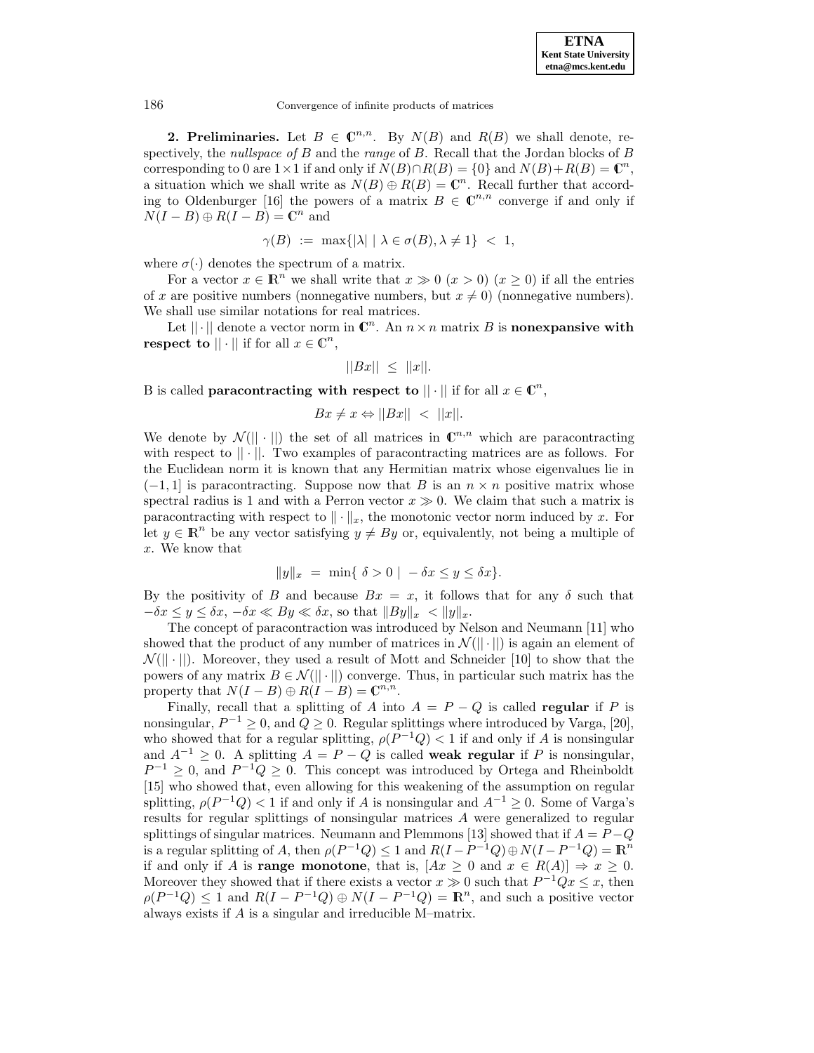**2. Preliminaries.** Let  $B \in \mathbb{C}^{n,n}$ . By  $N(B)$  and  $R(B)$  we shall denote, respectively, the *nullspace of*  $B$  and the *range* of  $B$ . Recall that the Jordan blocks of  $B$ corresponding to 0 are  $1 \times 1$  if and only if  $N(B) \cap R(B) = \{0\}$  and  $N(B) + R(B) = \mathbb{C}^n$ , a situation which we shall write as  $N(B) \oplus R(B) = \mathbb{C}^n$ . Recall further that according to Oldenburger [16] the powers of a matrix  $B \in \mathbb{C}^{n,n}$  converge if and only if  $N(I - B) \oplus R(I - B) = \mathbb{C}^n$  and

$$
\gamma(B) := \max\{|\lambda| \mid \lambda \in \sigma(B), \lambda \neq 1\} < 1,
$$

where  $\sigma(\cdot)$  denotes the spectrum of a matrix.

For a vector  $x \in \mathbb{R}^n$  we shall write that  $x \gg 0$   $(x > 0)$   $(x \ge 0)$  if all the entries of x are positive numbers (nonnegative numbers, but  $x \neq 0$ ) (nonnegative numbers). We shall use similar notations for real matrices.

Let  $\|\cdot\|$  denote a vector norm in  $\mathbb{C}^n$ . An  $n \times n$  matrix B is **nonexpansive with respect to**  $|| \cdot ||$  if for all  $x \in \mathbb{C}^n$ ,

$$
||Bx|| \le ||x||.
$$

B is called **paracontracting with respect to**  $|| \cdot ||$  if for all  $x \in \mathbb{C}^n$ ,

$$
Bx \neq x \Leftrightarrow ||Bx|| < ||x||.
$$

We denote by  $\mathcal{N}(\|\cdot\|)$  the set of all matrices in  $\mathbb{C}^{n,n}$  which are paracontracting with respect to  $|| \cdot ||$ . Two examples of paracontracting matrices are as follows. For the Euclidean norm it is known that any Hermitian matrix whose eigenvalues lie in  $(-1, 1]$  is paracontracting. Suppose now that B is an  $n \times n$  positive matrix whose spectral radius is 1 and with a Perron vector  $x \gg 0$ . We claim that such a matrix is paracontracting with respect to  $\|\cdot\|_x$ , the monotonic vector norm induced by x. For let  $y \in \mathbb{R}^n$  be any vector satisfying  $y \neq By$  or, equivalently, not being a multiple of x. We know that

$$
||y||_x = \min\{\ \delta > 0 \mid -\delta x \le y \le \delta x\}.
$$

By the positivity of B and because  $Bx = x$ , it follows that for any  $\delta$  such that  $-\delta x \leq y \leq \delta x$ ,  $-\delta x \ll By \ll \delta x$ , so that  $||By||_x < ||y||_x$ .

The concept of paracontraction was introduced by Nelson and Neumann [11] who showed that the product of any number of matrices in  $\mathcal{N}(|\cdot|)$  is again an element of  $\mathcal{N}(\|\cdot\|)$ . Moreover, they used a result of Mott and Schneider [10] to show that the powers of any matrix  $B \in \mathcal{N}(|\cdot|)$  converge. Thus, in particular such matrix has the property that  $N(I - B) \oplus R(I - B) = \mathbb{C}^{n,n}$ .

Finally, recall that a splitting of A into  $A = P - Q$  is called **regular** if P is nonsingular,  $P^{-1} \geq 0$ , and  $Q \geq 0$ . Regular splittings where introduced by Varga, [20], who showed that for a regular splitting,  $\rho(P^{-1}Q) < 1$  if and only if A is nonsingular and  $A^{-1} \geq 0$ . A splitting  $A = P - Q$  is called **weak regular** if P is nonsingular,  $P^{-1} \geq 0$ , and  $P^{-1}Q \geq 0$ . This concept was introduced by Ortega and Rheinboldt [15] who showed that, even allowing for this weakening of the assumption on regular splitting,  $\rho(P^{-1}Q)$  < 1 if and only if A is nonsingular and  $A^{-1} \geq 0$ . Some of Varga's results for regular splittings of nonsingular matrices A were generalized to regular splittings of singular matrices. Neumann and Plemmons [13] showed that if  $A = P - Q$ is a regular splitting of A, then  $\rho(P^{-1}Q) \leq 1$  and  $R(I - P^{-1}Q) \oplus N(I - P^{-1}Q) = \mathbb{R}^n$ if and only if A is **range monotone**, that is,  $|Ax| \geq 0$  and  $x \in R(A)| \Rightarrow x \geq 0$ . Moreover they showed that if there exists a vector  $x \gg 0$  such that  $P^{-1}Qx \leq x$ , then  $\rho(P^{-1}Q) \leq 1$  and  $R(I - P^{-1}Q) \oplus N(I - P^{-1}Q) = \mathbb{R}^n$ , and such a positive vector always exists if A is a singular and irreducible M–matrix.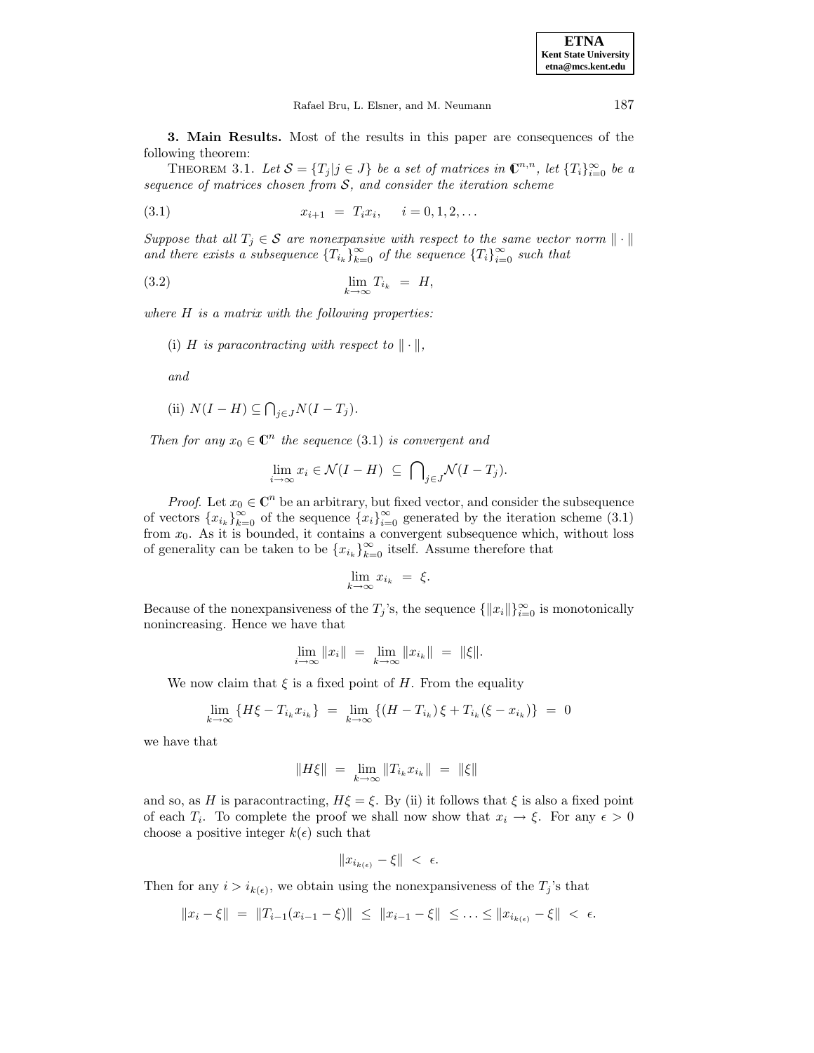| <b>ETNA</b>           |
|-----------------------|
| Kent State University |
| etna@mcs.kent.edu     |

Rafael Bru, L. Elsner, and M. Neumann 187

**3. Main Results.** Most of the results in this paper are consequences of the following theorem:

THEOREM 3.1. Let  $S = \{T_j | j \in J\}$  be a set of matrices in  $\mathbb{C}^{n,n}$ , let  $\{T_i\}_{i=0}^{\infty}$  be a sequence of matrices chosen from  $S$ , and consider the iteration scheme

$$
(3.1) \t\t x_{i+1} = T_i x_i, \t i = 0, 1, 2, ...
$$

Suppose that all  $T_j \in \mathcal{S}$  are nonexpansive with respect to the same vector norm  $\|\cdot\|$ and there exists a subsequence  $\{T_{i_k}\}_{k=0}^{\infty}$  of the sequence  $\{T_i\}_{i=0}^{\infty}$  such that

$$
\lim_{k \to \infty} T_{i_k} = H,
$$

where  $H$  is a matrix with the following properties:

(i) H is paracontracting with respect to  $\|\cdot\|$ ,

and

(ii) 
$$
N(I - H) \subseteq \bigcap_{j \in J} N(I - T_j)
$$
.

Then for any  $x_0 \in \mathbb{C}^n$  the sequence (3.1) is convergent and

$$
\lim_{i \to \infty} x_i \in \mathcal{N}(I - H) \subseteq \bigcap_{j \in J} \mathcal{N}(I - T_j).
$$

*Proof.* Let  $x_0 \in \mathbb{C}^n$  be an arbitrary, but fixed vector, and consider the subsequence of vectors  ${x_{i_k}}_{k=0}^{\infty}$  of the sequence  ${x_i}_{i=0}^{\infty}$  generated by the iteration scheme (3.1) from  $x_0$ . As it is bounded, it contains a convergent subsequence which, without loss of generality can be taken to be  $\{x_{i_k}\}_{k=0}^{\infty}$  itself. Assume therefore that

$$
\lim_{k \to \infty} x_{i_k} = \xi.
$$

Because of the nonexpansiveness of the  $T_j$ 's, the sequence  $\{\Vert x_i \Vert\}_{i=0}^{\infty}$  is monotonically nonincreasing. Hence we have that

$$
\lim_{i \to \infty} ||x_i|| = \lim_{k \to \infty} ||x_{i_k}|| = ||\xi||.
$$

We now claim that  $\xi$  is a fixed point of H. From the equality

$$
\lim_{k \to \infty} \{ H\xi - T_{i_k} x_{i_k} \} = \lim_{k \to \infty} \{ (H - T_{i_k}) \xi + T_{i_k} (\xi - x_{i_k}) \} = 0
$$

we have that

$$
\|H\xi\|\ =\ \lim_{k\to\infty}\|T_{i_k}x_{i_k}\|\ =\ \|\xi\|
$$

and so, as H is paracontracting,  $H\xi = \xi$ . By (ii) it follows that  $\xi$  is also a fixed point of each  $T_i$ . To complete the proof we shall now show that  $x_i \to \xi$ . For any  $\epsilon > 0$ choose a positive integer  $k(\epsilon)$  such that

$$
||x_{i_{k(\epsilon)}} - \xi|| < \epsilon.
$$

Then for any  $i>i_{k(\epsilon)}$ , we obtain using the nonexpansiveness of the  $T_j$ 's that

$$
||x_i - \xi|| = ||T_{i-1}(x_{i-1} - \xi)|| \le ||x_{i-1} - \xi|| \le \dots \le ||x_{i_{k(\epsilon)}} - \xi|| < \epsilon.
$$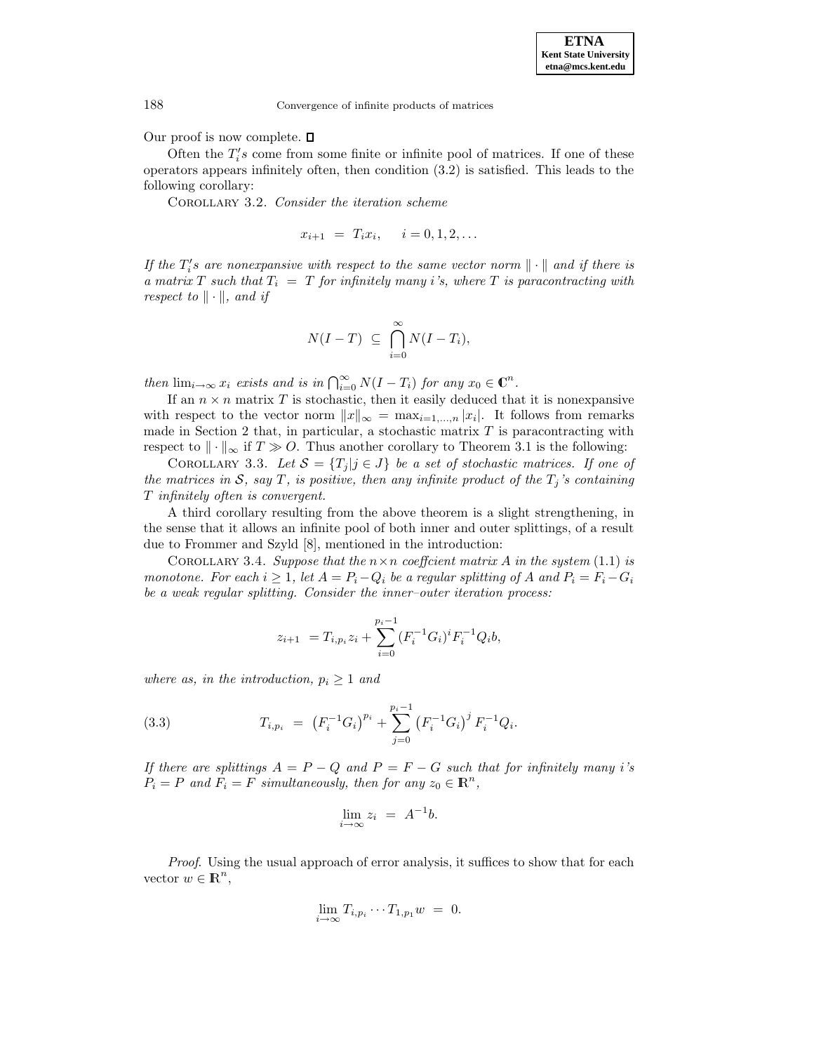Our proof is now complete.  $\square$ 

Often the  $T_i$ 's come from some finite or infinite pool of matrices. If one of these operators appears infinitely often, then condition (3.2) is satisfied. This leads to the following corollary:

COROLLARY 3.2. Consider the iteration scheme

 $x_{i+1} = T_i x_i, \quad i = 0, 1, 2, \ldots$ 

If the  $T_i$ 's are nonexpansive with respect to the same vector norm  $\|\cdot\|$  and if there is a matrix T such that  $T_i = T$  for infinitely many i's, where T is paracontracting with respect to  $\|\cdot\|$ , and if

$$
N(I-T) \ \subseteq \ \bigcap_{i=0}^{\infty} N(I-T_i),
$$

then  $\lim_{i\to\infty} x_i$  exists and is in  $\bigcap_{i=0}^{\infty} N(I-T_i)$  for any  $x_0 \in \mathbb{C}^n$ .

If an  $n \times n$  matrix T is stochastic, then it easily deduced that it is nonexpansive with respect to the vector norm  $||x||_{\infty} = \max_{i=1,\dots,n} |x_i|$ . It follows from remarks made in Section 2 that, in particular, a stochastic matrix  $T$  is paracontracting with respect to  $\|\cdot\|_{\infty}$  if  $T \gg O$ . Thus another corollary to Theorem 3.1 is the following:

COROLLARY 3.3. Let  $\mathcal{S} = \{T_j | j \in J\}$  be a set of stochastic matrices. If one of the matrices in S, say T, is positive, then any infinite product of the  $T_j$ 's containing T infinitely often is convergent.

A third corollary resulting from the above theorem is a slight strengthening, in the sense that it allows an infinite pool of both inner and outer splittings, of a result due to Frommer and Szyld [8], mentioned in the introduction:

COROLLARY 3.4. Suppose that the  $n \times n$  coefficient matrix A in the system (1.1) is monotone. For each  $i \geq 1$ , let  $A = P_i - Q_i$  be a regular splitting of A and  $P_i = F_i - G_i$ be a weak regular splitting. Consider the inner-outer iteration process:

$$
z_{i+1} = T_{i,p_i} z_i + \sum_{i=0}^{p_i - 1} (F_i^{-1} G_i)^i F_i^{-1} Q_i b,
$$

where as, in the introduction,  $p_i \geq 1$  and

(3.3) 
$$
T_{i,p_i} = (F_i^{-1}G_i)^{p_i} + \sum_{j=0}^{p_i-1} (F_i^{-1}G_i)^j F_i^{-1}Q_i.
$$

If there are splittings  $A = P - Q$  and  $P = F - G$  such that for infinitely many i's  $P_i = P$  and  $F_i = F$  simultaneously, then for any  $z_0 \in \mathbb{R}^n$ ,

$$
\lim_{i \to \infty} z_i = A^{-1}b.
$$

Proof. Using the usual approach of error analysis, it suffices to show that for each vector  $w \in \mathbb{R}^n$ ,

$$
\lim_{i \to \infty} T_{i,p_i} \cdots T_{1,p_1} w = 0.
$$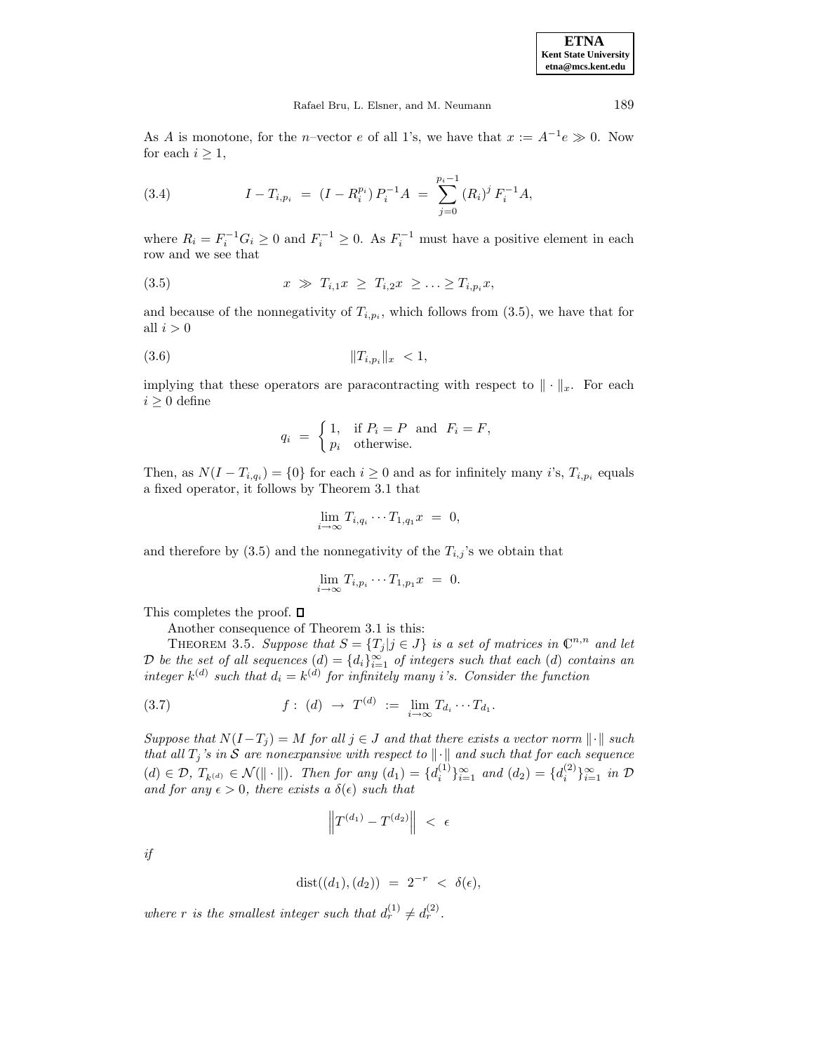**ETNA Kent State University etna@mcs.kent.edu**

As A is monotone, for the n–vector e of all 1's, we have that  $x := A^{-1}e \gg 0$ . Now for each  $i \geq 1$ ,

(3.4) 
$$
I - T_{i, p_i} = (I - R_i^{p_i}) P_i^{-1} A = \sum_{j=0}^{p_i - 1} (R_i)^j F_i^{-1} A,
$$

where  $R_i = F_i^{-1} G_i \ge 0$  and  $F_i^{-1} \ge 0$ . As  $F_i^{-1}$  must have a positive element in each row and we see that

$$
(3.5) \t\t x \gg T_{i,1}x \geq T_{i,2}x \geq \ldots \geq T_{i,p_i}x,
$$

and because of the nonnegativity of  $T_{i,p_i}$ , which follows from (3.5), we have that for all  $i > 0$ 

(3.6) kTi,p<sup>i</sup> k<sup>x</sup> < 1,

implying that these operators are paracontracting with respect to  $\|\cdot\|_x$ . For each  $i \geq 0$  define

$$
q_i = \begin{cases} 1, & \text{if } P_i = P \text{ and } F_i = F, \\ p_i & \text{otherwise.} \end{cases}
$$

Then, as  $N(I - T_{i,q_i}) = \{0\}$  for each  $i \geq 0$  and as for infinitely many i's,  $T_{i,p_i}$  equals a fixed operator, it follows by Theorem 3.1 that

$$
\lim_{i \to \infty} T_{i,q_i} \cdots T_{1,q_1} x = 0,
$$

and therefore by  $(3.5)$  and the nonnegativity of the  $T_{i,j}$ 's we obtain that

$$
\lim_{i \to \infty} T_{i, p_i} \cdots T_{1, p_1} x = 0.
$$

This completes the proof.  $\square$ 

Another consequence of Theorem 3.1 is this:

THEOREM 3.5. Suppose that  $S = \{T_j | j \in J\}$  is a set of matrices in  $\mathbb{C}^{n,n}$  and let D be the set of all sequences  $(d) = \{d_i\}_{i=1}^{\infty}$  of integers such that each  $(d)$  contains an integer  $k^{(d)}$  such that  $d_i = k^{(d)}$  for infinitely many i's. Consider the function

(3.7) 
$$
f: (d) \to T^{(d)} := \lim_{i \to \infty} T_{d_i} \cdots T_{d_1}.
$$

Suppose that  $N(I-T_j) = M$  for all  $j \in J$  and that there exists a vector norm  $\|\cdot\|$  such that all  $T_j$ 's in S are nonexpansive with respect to  $\|\cdot\|$  and such that for each sequence  $(d) \in \mathcal{D}, T_{k^{(d)}} \in \mathcal{N}(\|\cdot\|).$  Then for any  $(d_1) = \{d_i^{(1)}\}_{i=1}^{\infty}$  and  $(d_2) = \{d_i^{(2)}\}_{i=1}^{\infty}$  in  $\mathcal{D}$ and for any  $\epsilon > 0$ , there exists a  $\delta(\epsilon)$  such that

$$
\left\|T^{(d_1)}-T^{(d_2)}\right\|~<\;\epsilon
$$

if

$$
dist((d_1), (d_2)) = 2^{-r} < \delta(\epsilon),
$$

where r is the smallest integer such that  $d_r^{(1)} \neq d_r^{(2)}$ .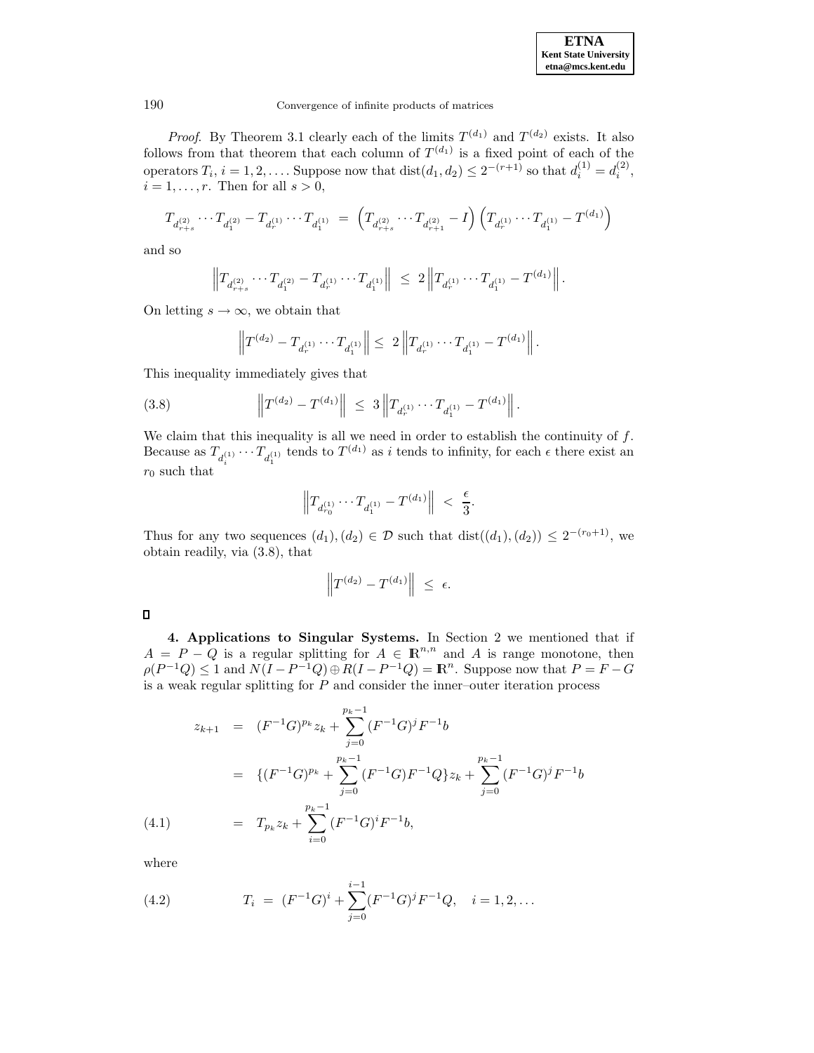

*Proof.* By Theorem 3.1 clearly each of the limits  $T^{(d_1)}$  and  $T^{(d_2)}$  exists. It also follows from that theorem that each column of  $T^{(d_1)}$  is a fixed point of each of the operators  $T_i$ ,  $i = 1, 2, \ldots$ . Suppose now that  $dist(d_1, d_2) \leq 2^{-(r+1)}$  so that  $d_i^{(1)} = d_i^{(2)}$ ,  $i = 1, \ldots, r$ . Then for all  $s > 0$ ,

$$
T_{d_{r+s}^{(2)}}\cdots T_{d_1^{(2)}}-T_{d_r^{(1)}}\cdots T_{d_1^{(1)}}\ =\ \left(T_{d_{r+s}^{(2)}}\cdots T_{d_{r+1}^{(2)}}-I\right)\left(T_{d_r^{(1)}}\cdots T_{d_1^{(1)}}-T^{(d_1)}\right)
$$

and so

$$
\left\|T_{d_{r+s}^{(2)}}\cdots T_{d_1^{(2)}}-T_{d_r^{(1)}}\cdots T_{d_1^{(1)}}\right\|\ \leq\ 2\left\|T_{d_r^{(1)}}\cdots T_{d_1^{(1)}}-T^{(d_1)}\right\|.
$$

On letting  $s \to \infty$ , we obtain that

$$
\left\|T^{(d_2)}-T_{d_r^{(1)}}\cdots T_{d_1^{(1)}}\right\|\leq\; 2\left\|T_{d_r^{(1)}}\cdots T_{d_1^{(1)}}-T^{(d_1)}\right\|.
$$

This inequality immediately gives that

(3.8) 
$$
\left\|T^{(d_2)} - T^{(d_1)}\right\| \leq 3\left\|T_{d_r^{(1)}} \cdots T_{d_1^{(1)}} - T^{(d_1)}\right\|.
$$

We claim that this inequality is all we need in order to establish the continuity of  $f$ . Because as  $T_{d_i^{(1)}} \cdots T_{d_1^{(1)}}$  tends to  $T^{(d_1)}$  as i tends to infinity, for each  $\epsilon$  there exist an  $r_0$  such that

$$
\Big\| T_{d_{r_0}^{(1)}} \cdots T_{d_1^{(1)}} - T^{(d_1)} \Big\| \ < \ \frac{\epsilon}{3}.
$$

Thus for any two sequences  $(d_1), (d_2) \in \mathcal{D}$  such that  $dist((d_1), (d_2)) \leq 2^{-(r_0+1)}$ , we obtain readily, via (3.8), that

$$
\left\|T^{(d_2)}-T^{(d_1)}\right\| ~\leq ~ \epsilon.
$$

 $\Box$ 

**4. Applications to Singular Systems.** In Section 2 we mentioned that if  $A = P - Q$  is a regular splitting for  $A \in \mathbb{R}^{n,n}$  and A is range monotone, then  $\rho(P^{-1}Q) \leq 1$  and  $N(I - P^{-1}Q) \oplus R(I - P^{-1}Q) = \mathbb{R}^n$ . Suppose now that  $P = F - G$ is a weak regular splitting for  $P$  and consider the inner-outer iteration process

$$
z_{k+1} = (F^{-1}G)^{p_k} z_k + \sum_{j=0}^{p_k - 1} (F^{-1}G)^j F^{-1} b
$$
  

$$
= \{ (F^{-1}G)^{p_k} + \sum_{j=0}^{p_k - 1} (F^{-1}G)F^{-1}Q \} z_k + \sum_{j=0}^{p_k - 1} (F^{-1}G)^j F^{-1} b
$$
  
(4.1) 
$$
= T_{p_k} z_k + \sum_{i=0}^{p_k - 1} (F^{-1}G)^i F^{-1} b,
$$

where

(4.2) 
$$
T_i = (F^{-1}G)^i + \sum_{j=0}^{i-1} (F^{-1}G)^j F^{-1}Q, \quad i = 1, 2, ...
$$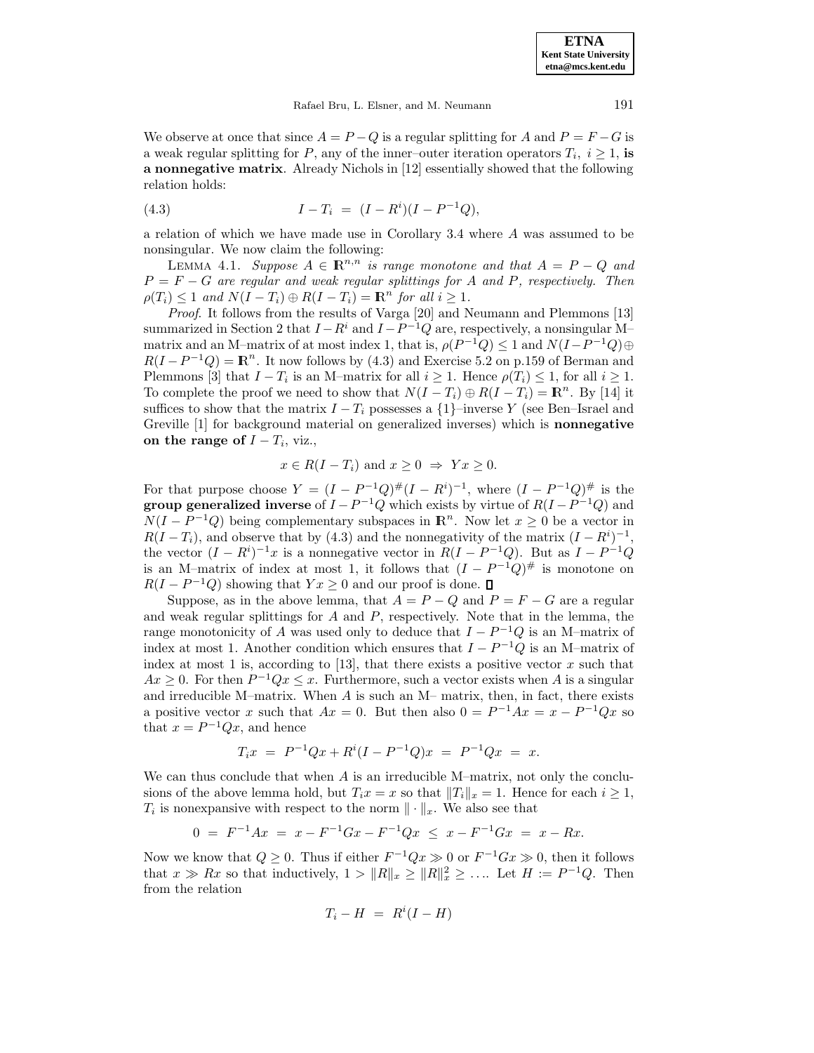**ETNA Kent State University etna@mcs.kent.edu**

Rafael Bru, L. Elsner, and M. Neumann 191

We observe at once that since  $A = P - Q$  is a regular splitting for A and  $P = F - G$  is a weak regular splitting for P, any of the inner–outer iteration operators  $T_i$ ,  $i \geq 1$ , is **a nonnegative matrix**. Already Nichols in [12] essentially showed that the following relation holds:

(4.3) 
$$
I - T_i = (I - R^i)(I - P^{-1}Q),
$$

a relation of which we have made use in Corollary 3.4 where A was assumed to be nonsingular. We now claim the following:

LEMMA 4.1. Suppose  $A \in \mathbb{R}^{n,n}$  is range monotone and that  $A = P - Q$  and  $P = F - G$  are regular and weak regular splittings for A and P, respectively. Then  $\rho(T_i) \leq 1$  and  $N(I - T_i) \oplus R(I - T_i) = \mathbb{R}^n$  for all  $i \geq 1$ .

Proof. It follows from the results of Varga [20] and Neumann and Plemmons [13] summarized in Section 2 that  $I - R^i$  and  $I - P^{-1}Q$  are, respectively, a nonsingular M– matrix and an M–matrix of at most index 1, that is,  $\rho(P^{-1}Q) \leq 1$  and  $N(I-P^{-1}Q) \oplus$  $R(I - P^{-1}Q) = \mathbb{R}^n$ . It now follows by (4.3) and Exercise 5.2 on p.159 of Berman and Plemmons [3] that  $I - T_i$  is an M–matrix for all  $i \geq 1$ . Hence  $\rho(T_i) \leq 1$ , for all  $i \geq 1$ . To complete the proof we need to show that  $N(I - T_i) \oplus R(I - T_i) = \mathbb{R}^n$ . By [14] it suffices to show that the matrix  $I - T_i$  possesses a  $\{1\}$ –inverse Y (see Ben–Israel and Greville [1] for background material on generalized inverses) which is **nonnegative on the range of**  $I - T_i$ , viz.,

$$
x \in R(I - T_i)
$$
 and  $x \ge 0 \Rightarrow Yx \ge 0$ .

For that purpose choose  $Y = (I - P^{-1}Q)^{\#}(I - R^{i})^{-1}$ , where  $(I - P^{-1}Q)^{\#}$  is the **group generalized inverse** of  $I - P^{-1}Q$  which exists by virtue of  $R(I - P^{-1}Q)$  and  $N(I - P^{-1}Q)$  being complementary subspaces in  $\mathbb{R}^n$ . Now let  $x \geq 0$  be a vector in  $R(I - T_i)$ , and observe that by (4.3) and the nonnegativity of the matrix  $(I - R^i)^{-1}$ , the vector  $(I - R<sup>i</sup>)^{-1}x$  is a nonnegative vector in  $R(I - P^{-1}Q)$ . But as  $I - P^{-1}Q$ is an M–matrix of index at most 1, it follows that  $(I - P^{-1}Q)^{\#}$  is monotone on  $R(I - P^{-1}Q)$  showing that  $Yx \geq 0$  and our proof is done.  $\Box$ 

Suppose, as in the above lemma, that  $A = P - Q$  and  $P = F - G$  are a regular and weak regular splittings for  $A$  and  $P$ , respectively. Note that in the lemma, the range monotonicity of A was used only to deduce that  $I - P^{-1}Q$  is an M–matrix of index at most 1. Another condition which ensures that  $I - P^{-1}Q$  is an M–matrix of index at most 1 is, according to [13], that there exists a positive vector  $x$  such that  $Ax \geq 0$ . For then  $P^{-1}Qx \leq x$ . Furthermore, such a vector exists when A is a singular and irreducible M–matrix. When A is such an M– matrix, then, in fact, there exists a positive vector x such that  $Ax = 0$ . But then also  $0 = P^{-1}Ax = x - P^{-1}Qx$  so that  $x = P^{-1}Qx$ , and hence

$$
T_i x = P^{-1}Qx + R^i(I - P^{-1}Q)x = P^{-1}Qx = x.
$$

We can thus conclude that when  $A$  is an irreducible M–matrix, not only the conclusions of the above lemma hold, but  $T_i x = x$  so that  $||T_i||_x = 1$ . Hence for each  $i \ge 1$ ,  $T_i$  is nonexpansive with respect to the norm  $\|\cdot\|_x$ . We also see that

$$
0 = F^{-1}Ax = x - F^{-1}Gx - F^{-1}Qx \le x - F^{-1}Gx = x - Rx.
$$

Now we know that  $Q \geq 0$ . Thus if either  $F^{-1}Qx \gg 0$  or  $F^{-1}Gx \gg 0$ , then it follows that  $x \gg Rx$  so that inductively,  $1 > ||R||_x \ge ||R||_x^2 \ge \ldots$  Let  $H := P^{-1}Q$ . Then from the relation

$$
T_i - H = R^i(I - H)
$$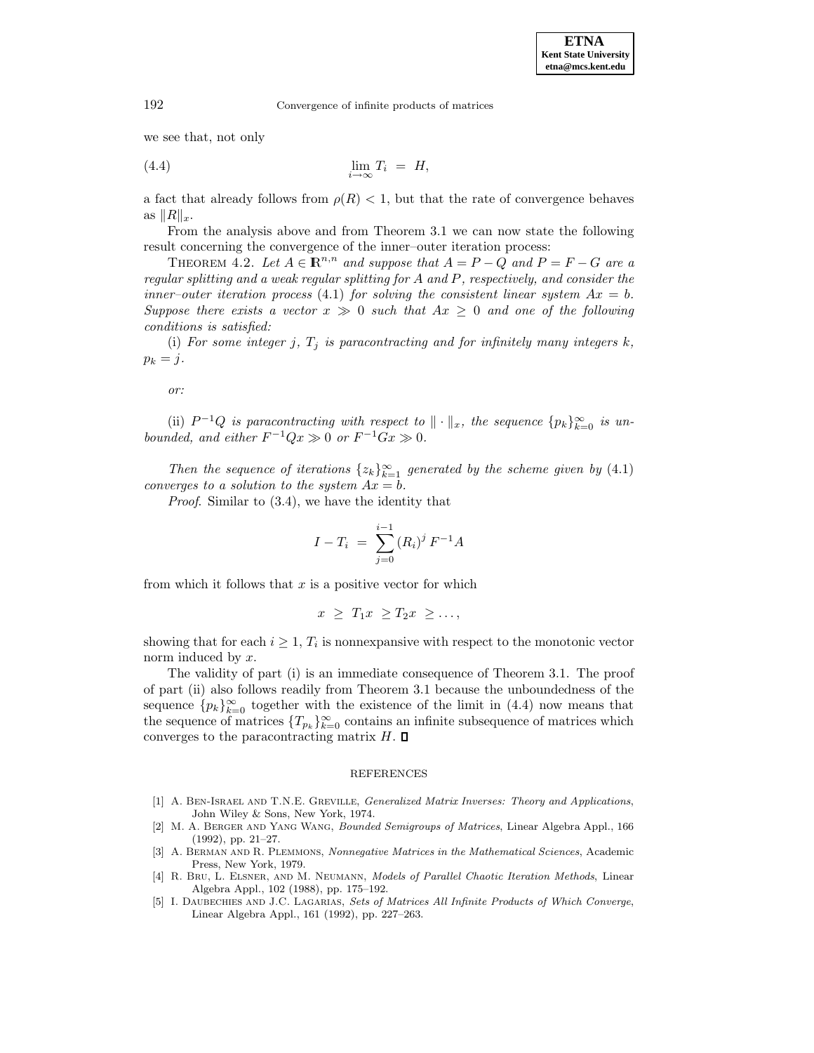we see that, not only

$$
\lim_{i \to \infty} T_i = H,
$$

a fact that already follows from  $\rho(R) < 1$ , but that the rate of convergence behaves as  $||R||_x$ .

From the analysis above and from Theorem 3.1 we can now state the following result concerning the convergence of the inner–outer iteration process:

THEOREM 4.2. Let  $A \in \mathbb{R}^{n,n}$  and suppose that  $A = P - Q$  and  $P = F - G$  are a regular splitting and a weak regular splitting for A and P, respectively, and consider the inner–outer iteration process (4.1) for solving the consistent linear system  $Ax = b$ . Suppose there exists a vector  $x \gg 0$  such that  $Ax \geq 0$  and one of the following conditions is satisfied:

(i) For some integer j,  $T_j$  is paracontracting and for infinitely many integers k,  $p_k = j$ .

or:

(ii)  $P^{-1}Q$  is paracontracting with respect to  $\|\cdot\|_x$ , the sequence  $\{p_k\}_{k=0}^{\infty}$  is unbounded, and either  $F^{-1}Qx \gg 0$  or  $F^{-1}Gx \gg 0$ .

Then the sequence of iterations  $\{z_k\}_{k=1}^{\infty}$  generated by the scheme given by (4.1) converges to a solution to the system  $Ax = b$ .

Proof. Similar to (3.4), we have the identity that

$$
I - T_i = \sum_{j=0}^{i-1} (R_i)^j F^{-1} A
$$

from which it follows that  $x$  is a positive vector for which

$$
x \geq T_1 x \geq T_2 x \geq \ldots,
$$

showing that for each  $i \geq 1$ ,  $T_i$  is nonnexpansive with respect to the monotonic vector norm induced by  $x$ .

The validity of part (i) is an immediate consequence of Theorem 3.1. The proof of part (ii) also follows readily from Theorem 3.1 because the unboundedness of the sequence  ${p_k}_{k=0}^{\infty}$  together with the existence of the limit in (4.4) now means that the sequence of matrices  $\{T_{p_k}\}_{k=0}^{\infty}$  contains an infinite subsequence of matrices which converges to the paracontracting matrix  $H$ .  $\square$ 

## **REFERENCES**

- [1] A. BEN-ISRAEL AND T.N.E. GREVILLE, Generalized Matrix Inverses: Theory and Applications, John Wiley & Sons, New York, 1974.
- [2] M. A. Berger and Yang Wang, Bounded Semigroups of Matrices, Linear Algebra Appl., 166 (1992), pp. 21–27.
- [3] A. Berman and R. Plemmons, Nonnegative Matrices in the Mathematical Sciences, Academic Press, New York, 1979.
- [4] R. Bru, L. Elsner, and M. Neumann, Models of Parallel Chaotic Iteration Methods, Linear Algebra Appl., 102 (1988), pp. 175–192.
- [5] I. DAUBECHIES AND J.C. LAGARIAS, Sets of Matrices All Infinite Products of Which Converge, Linear Algebra Appl., 161 (1992), pp. 227–263.